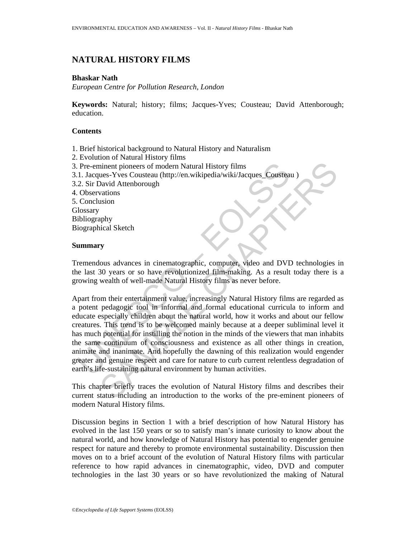# **NATURAL HISTORY FILMS**

### **Bhaskar Nath**

*European Centre for Pollution Research, London* 

**Keywords:** Natural; history; films; Jacques-Yves; Cousteau; David Attenborough; education.

## **Contents**

- 1. Brief historical background to Natural History and Naturalism
- 2. Evolution of Natural History films
- 3. Pre-eminent pioneers of modern Natural History films
- 3.1. Jacques-Yves Cousteau (http://en.wikipedia/wiki/Jacques\_Cousteau )
- 3.2. Sir David Attenborough
- 4. Observations
- 5. Conclusion

**Glossary** Bibliography

Biographical Sketch

### **Summary**

Tremendous advances in cinematographic, computer, video and DVD technologies in the last 30 years or so have revolutionized film-making. As a result today there is a growing wealth of well-made Natural History films as never before.

Pre-eminent pioneers of modern Natural History films<br>
1. Jacques-Yves Cousteau (http://en.wikipedia/wiki/Jacques\_Cousteau<br>
2. Sir David Attenborough<br>
2. Observations<br>
Conclusion<br>
1. Observations<br>
2. Observations<br>
2. Conclu minent pioneers of modern Natural History films<br>
aliant pioneers - Yves Cousteau (http://en.wikipedia/wiki/Jacques Cousteau)<br>
David Attenborough<br>
valuations<br>
susion<br>
cous advances in cinematographic, computer wideo and DVD Apart from their entertainment value, increasingly Natural History films are regarded as a potent pedagogic tool in informal and formal educational curricula to inform and educate especially children about the natural world, how it works and about our fellow creatures. This trend is to be welcomed mainly because at a deeper subliminal level it has much potential for instilling the notion in the minds of the viewers that man inhabits the same continuum of consciousness and existence as all other things in creation, animate and inanimate. And hopefully the dawning of this realization would engender greater and genuine respect and care for nature to curb current relentless degradation of earth's life-sustaining natural environment by human activities.

This chapter briefly traces the evolution of Natural History films and describes their current status including an introduction to the works of the pre-eminent pioneers of modern Natural History films.

Discussion begins in Section 1 with a brief description of how Natural History has evolved in the last 150 years or so to satisfy man's innate curiosity to know about the natural world, and how knowledge of Natural History has potential to engender genuine respect for nature and thereby to promote environmental sustainability. Discussion then moves on to a brief account of the evolution of Natural History films with particular reference to how rapid advances in cinematographic, video, DVD and computer technologies in the last 30 years or so have revolutionized the making of Natural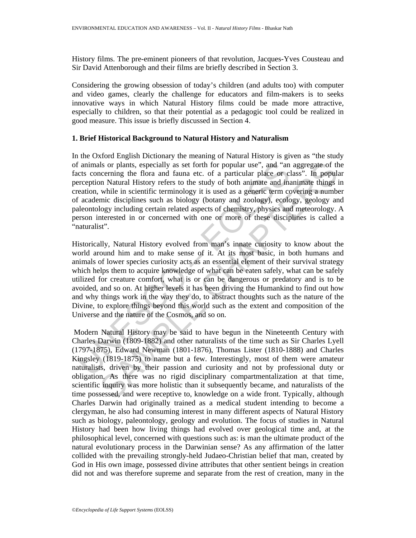History films. The pre-eminent pioneers of that revolution, Jacques-Yves Cousteau and Sir David Attenborough and their films are briefly described in Section 3.

Considering the growing obsession of today's children (and adults too) with computer and video games, clearly the challenge for educators and film-makers is to seeks innovative ways in which Natural History films could be made more attractive, especially to children, so that their potential as a pedagogic tool could be realized in good measure. This issue is briefly discussed in Section 4.

### **1. Brief Historical Background to Natural History and Naturalism**

In the Oxford English Dictionary the meaning of Natural History is given as "the study of animals or plants, especially as set forth for popular use", and "an aggregate of the facts concerning the flora and fauna etc. of a particular place or class". In popular perception Natural History refers to the study of both animate and inanimate things in creation, while in scientific terminology it is used as a generic term covering a number of academic disciplines such as biology (botany and zoology), ecology, geology and paleontology including certain related aspects of chemistry, physics and meteorology. A person interested in or concerned with one or more of these disciplines is called a "naturalist".

f animals or plants, especially as set forth for popular use", and "an<br>tets concerning the flora and fauna etc. of a particular place or cl<br>ereception Natural History refers to the study of both animate and ina<br>reaction, w Is or plants, especially as set forth for popular use", and "an aggregate of the moral of the flora and fauna etc. of a particular place or class". In popular listory refers to the study of both animate and namimate things Historically, Natural History evolved from man's innate curiosity to know about the world around him and to make sense of it. At its most basic, in both humans and animals of lower species curiosity acts as an essential element of their survival strategy which helps them to acquire knowledge of what can be eaten safely, what can be safely utilized for creature comfort, what is or can be dangerous or predatory and is to be avoided, and so on. At higher levels it has been driving the Humankind to find out how and why things work in the way they do, to abstract thoughts such as the nature of the Divine, to explore things beyond this world such as the extent and composition of the Universe and the nature of the Cosmos, and so on.

 Modern Natural History may be said to have begun in the Nineteenth Century with Charles Darwin (1809-1882) and other naturalists of the time such as Sir Charles Lyell (1797-1875), Edward Newman (1801-1876), Thomas Lister (1810-1888) and Charles Kingsley (1819-1875) to name but a few. Interestingly, most of them were amateur naturalists, driven by their passion and curiosity and not by professional duty or obligation. As there was no rigid disciplinary compartmentalization at that time, scientific inquiry was more holistic than it subsequently became, and naturalists of the time possessed, and were receptive to, knowledge on a wide front. Typically, although Charles Darwin had originally trained as a medical student intending to become a clergyman, he also had consuming interest in many different aspects of Natural History such as biology, paleontology, geology and evolution. The focus of studies in Natural History had been how living things had evolved over geological time and, at the philosophical level, concerned with questions such as: is man the ultimate product of the natural evolutionary process in the Darwinian sense? As any affirmation of the latter collided with the prevailing strongly-held Judaeo-Christian belief that man, created by God in His own image, possessed divine attributes that other sentient beings in creation did not and was therefore supreme and separate from the rest of creation, many in the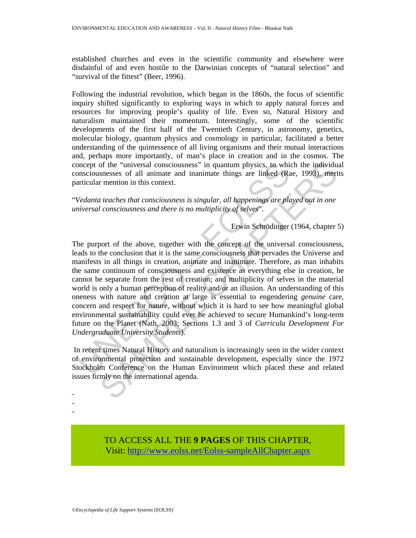established churches and even in the scientific community and elsewhere were disdainful of and even hostile to the Darwinian concepts of "natural selection" and "survival of the fittest" (Beer, 1996).

Following the industrial revolution, which began in the 1860s, the focus of scientific inquiry shifted significantly to exploring ways in which to apply natural forces and resources for improving people's quality of life. Even so, Natural History and naturalism maintained their momentum. Interestingly, some of the scientific developments of the first half of the Twentieth Century, in astronomy, genetics, molecular biology, quantum physics and cosmology in particular, facilitated a better understanding of the quintessence of all living organisms and their mutual interactions and, perhaps more importantly, of man's place in creation and in the cosmos. The concept of the "universal consciousness" in quantum physics, to which the individual consciousnesses of all animate and inanimate things are linked (Rae, 1993), merits particular mention in this context.

"*Vedanta teaches that consciousness is singular, all happenings are played out in one universal consciousness and there is no multiplicity of selves*".

Erwin Schrödinger (1964, chapter 5)

oncept of the "universal consciousness" in quantum physics, to which<br>consciousnesses of all animate and inanimate things are linked (Ramoriticular mention in this context.<br>All animate and inanimate things are linked (Ramor of the "universal consciousness" in quantum physics, to which the individual<br>senses of all naimate and inamimate things are linked (Rac, 1993), merican<br>senses of all naimate and inamimate things are linked (Rac, 1993), mer The purport of the above, together with the concept of the universal consciousness, leads to the conclusion that it is the same consciousness that pervades the Universe and manifests in all things in creation, animate and inanimate. Therefore, as man inhabits the same continuum of consciousness and existence as everything else in creation, he cannot be separate from the rest of creation; and multiplicity of selves in the material world is only a human perception of reality and/or an illusion. An understanding of this oneness with nature and creation at large is essential to engendering *genuine* care, concern and respect for nature, without which it is hard to see how meaningful global environmental sustainability could ever be achieved to secure Humankind's long-term future on the Planet (Nath, 2003; Sections 1.3 and 3 of *Curricula Development For Undergraduate University Students*).

 In recent times Natural History and naturalism is increasingly seen in the wider context of environmental protection and sustainable development, especially since the 1972 Stockholm Conference on the Human Environment which placed these and related issues firmly on the international agenda.

- -

-

TO ACCESS ALL THE **9 PAGES** OF THIS CHAPTER, Visit[: http://www.eolss.net/Eolss-sampleAllChapter.aspx](https://www.eolss.net/ebooklib/sc_cart.aspx?File=E4-16-04-01)